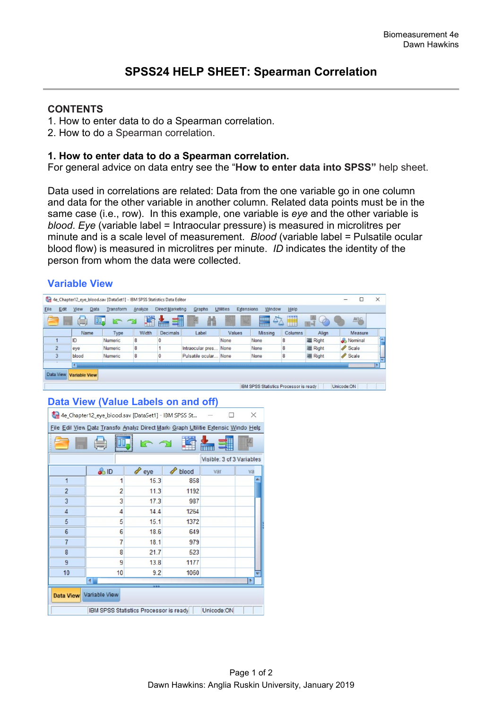## **CONTENTS**

- 1. How to enter data to do a Spearman correlation.
- 2. How to do a Spearman correlation.

#### **1. How to enter data to do a Spearman correlation.**

For general advice on data entry see the "**How to enter data into SPSS"** help sheet.

Data used in correlations are related: Data from the one variable go in one column and data for the other variable in another column. Related data points must be in the same case (i.e., row). In this example, one variable is *eye* and the other variable is *blood*. *Eye* (variable label = Intraocular pressure) is measured in microlitres per minute and is a scale level of measurement. *Blood* (variable label = Pulsatile ocular blood flow) is measured in microlitres per minute. *ID* indicates the identity of the person from whom the data were collected.

# **Variable View**

|                                                                                    |                      |             |           |         | 4e_Chapter12_eye_blood.sav [DataSet1] - IBM SPSS Statistics Data Editor |                       |                         |                |         |         |                    | × |
|------------------------------------------------------------------------------------|----------------------|-------------|-----------|---------|-------------------------------------------------------------------------|-----------------------|-------------------------|----------------|---------|---------|--------------------|---|
| <b>File</b>                                                                        | Edit<br>View         | <b>Data</b> | Transform | Analyze | Direct Marketing                                                        | Graphs                | Utilities<br>Extensions | Window         | Help    |         |                    |   |
| ∰<br>H<br>一道<br>翻<br>47<br><b>HINK</b><br>A B<br>₩<br>Œ,<br>D<br><b>Time</b><br>mn |                      |             |           |         |                                                                         |                       |                         |                |         |         |                    |   |
|                                                                                    | Name                 |             | Type      | Width   | <b>Decimals</b>                                                         | Label                 | Values                  | <b>Missing</b> | Columns | Align   | Measure            |   |
|                                                                                    | ID                   |             | Numeric   | 8       |                                                                         |                       | None                    | None           | 8       | 三 Right | & Nominal          | œ |
| $\overline{2}$                                                                     | eve                  |             | Numeric   | 8       |                                                                         | Intraocular pres      | None                    | None           | 8       | = Right | Scale <sup>3</sup> |   |
| 3                                                                                  | blood                |             | Numeric   | 8       |                                                                         | Pulsatile ocular None |                         | None           | 8       | 三 Right | Scale <sub>3</sub> |   |
|                                                                                    |                      |             |           |         |                                                                         |                       |                         |                |         |         |                    |   |
| Data View                                                                          | <b>Variable View</b> |             |           |         |                                                                         |                       |                         |                |         |         |                    |   |

# **Data View (Value Labels on and off)**

| 4e_Chapter12_eye_blood.sav [DataSet1] - IBM SPSS St<br>×                          |                  |          |       |     |    |  |  |  |
|-----------------------------------------------------------------------------------|------------------|----------|-------|-----|----|--|--|--|
| File Edil View Data Transfo Analyz Direct Mark Graph Utilitie Extensic Windo Help |                  |          |       |     |    |  |  |  |
|                                                                                   | $\equiv$         |          |       |     |    |  |  |  |
| Visible: 3 of 3 Variables                                                         |                  |          |       |     |    |  |  |  |
|                                                                                   | $\frac{a}{a}$ ID | P<br>eye | blood | var | va |  |  |  |
| $\mathbf{1}$                                                                      | 1                | 15.3     | 858   |     |    |  |  |  |
| $\overline{2}$                                                                    | $\overline{2}$   | 11.3     | 1192  |     |    |  |  |  |
| 3                                                                                 | 3                | 17.3     | 987   |     |    |  |  |  |
| $\overline{4}$                                                                    | 4                | 14.4     | 1264  |     |    |  |  |  |
| 5                                                                                 | 5                | 15.1     | 1372  |     |    |  |  |  |
| $6\phantom{1}$                                                                    | 6                | 18.6     | 649   |     |    |  |  |  |
| $\overline{7}$                                                                    | $\overline{7}$   | 18.1     | 979   |     |    |  |  |  |
| 8                                                                                 | 8                | 21.7     | 523   |     |    |  |  |  |
| $\overline{9}$                                                                    | 9                | 13.8     | 1177  |     |    |  |  |  |
| 10                                                                                | 10               | 9.2      | 1060  |     |    |  |  |  |
| $\blacktriangleleft$<br>٠                                                         |                  |          |       |     |    |  |  |  |
| Data View Variable View                                                           |                  |          |       |     |    |  |  |  |
| Unicode:ON<br>IBM SPSS Statistics Processor is ready                              |                  |          |       |     |    |  |  |  |